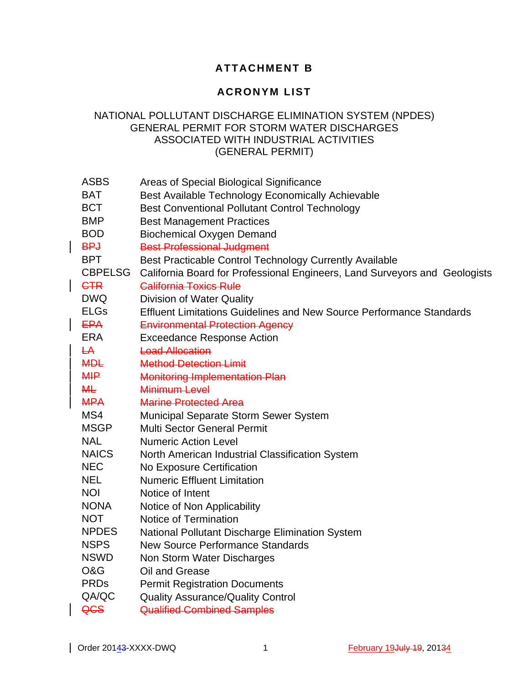## **ATTACHMENT B**

## **ACRONYM LIST**

## NATIONAL POLLUTANT DISCHARGE ELIMINATION SYSTEM (NPDES) GENERAL PERMIT FOR STORM WATER DISCHARGES ASSOCIATED WITH INDUSTRIAL ACTIVITIES (GENERAL PERMIT)

| <b>ASBS</b>    | Areas of Special Biological Significance                                    |
|----------------|-----------------------------------------------------------------------------|
| <b>BAT</b>     | Best Available Technology Economically Achievable                           |
| <b>BCT</b>     | <b>Best Conventional Pollutant Control Technology</b>                       |
| <b>BMP</b>     | <b>Best Management Practices</b>                                            |
| <b>BOD</b>     | <b>Biochemical Oxygen Demand</b>                                            |
| <b>BPJ</b>     | <b>Best Professional Judgment</b>                                           |
| <b>BPT</b>     | Best Practicable Control Technology Currently Available                     |
| <b>CBPELSG</b> | California Board for Professional Engineers, Land Surveyors and Geologists  |
| <b>CTR</b>     | <b>California Toxics Rule</b>                                               |
| <b>DWQ</b>     | <b>Division of Water Quality</b>                                            |
| <b>ELGs</b>    | <b>Effluent Limitations Guidelines and New Source Performance Standards</b> |
| <b>EPA</b>     | <b>Environmental Protection Agency</b>                                      |
| <b>ERA</b>     | <b>Exceedance Response Action</b>                                           |
| $H +$          | <b>Load Allocation</b>                                                      |
| <b>MDL</b>     | <b>Method Detection Limit</b>                                               |
| <b>MIP</b>     | <b>Monitoring Implementation Plan</b>                                       |
| <b>ML</b>      | Minimum Level                                                               |
| <b>MPA</b>     | <b>Marine Protected Area</b>                                                |
| MS4            | Municipal Separate Storm Sewer System                                       |
| <b>MSGP</b>    | <b>Multi Sector General Permit</b>                                          |
| <b>NAL</b>     | <b>Numeric Action Level</b>                                                 |
| <b>NAICS</b>   | North American Industrial Classification System                             |
| <b>NEC</b>     | <b>No Exposure Certification</b>                                            |
| <b>NEL</b>     | <b>Numeric Effluent Limitation</b>                                          |
| <b>NOI</b>     | Notice of Intent                                                            |
| <b>NONA</b>    | Notice of Non Applicability                                                 |
| <b>NOT</b>     | Notice of Termination                                                       |
| <b>NPDES</b>   | <b>National Pollutant Discharge Elimination System</b>                      |
| <b>NSPS</b>    | <b>New Source Performance Standards</b>                                     |
| <b>NSWD</b>    | Non Storm Water Discharges                                                  |
| O&G            | Oil and Grease                                                              |
| <b>PRDs</b>    | <b>Permit Registration Documents</b>                                        |
| QA/QC          | <b>Quality Assurance/Quality Control</b>                                    |
| QCS            | <b>Qualified Combined Samples</b>                                           |